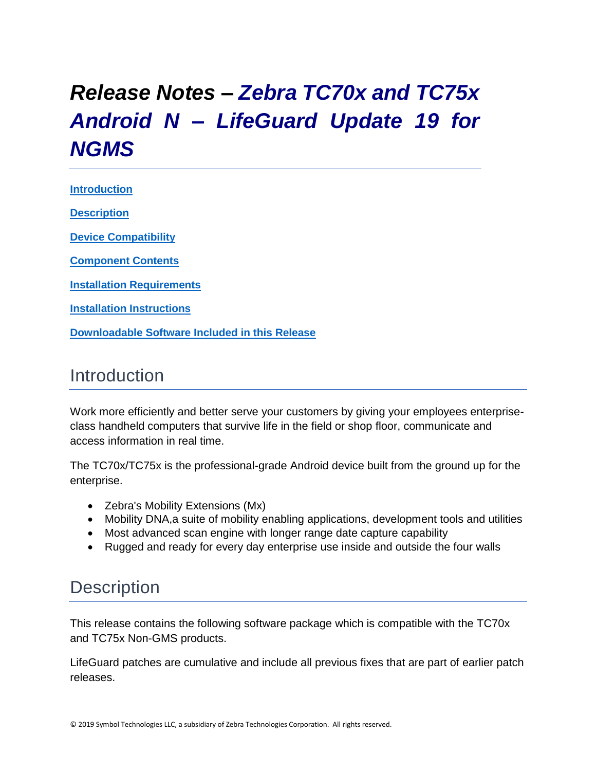# *Release Notes – Zebra TC70x and TC75x Android N – LifeGuard Update 19 for NGMS*

**[Introduction](#page-0-0) [Description](#page-0-1)**

**[Device Compatibility](#page-15-0)**

**[Component Contents](#page-1-0)**

**[Installation Requirements](#page-16-0)**

**[Installation Instructions](#page-16-1)**

**[Downloadable Software Included in this Release](#page-19-0)**

# <span id="page-0-0"></span>Introduction

Work more efficiently and better serve your customers by giving your employees enterpriseclass handheld computers that survive life in the field or shop floor, communicate and access information in real time.

The TC70x/TC75x is the professional-grade Android device built from the ground up for the enterprise.

- Zebra's Mobility Extensions (Mx)
- Mobility DNA,a suite of mobility enabling applications, development tools and utilities
- Most advanced scan engine with longer range date capture capability
- Rugged and ready for every day enterprise use inside and outside the four walls

## <span id="page-0-1"></span>**Description**

This release contains the following software package which is compatible with the TC70x and TC75x Non-GMS products.

LifeGuard patches are cumulative and include all previous fixes that are part of earlier patch releases.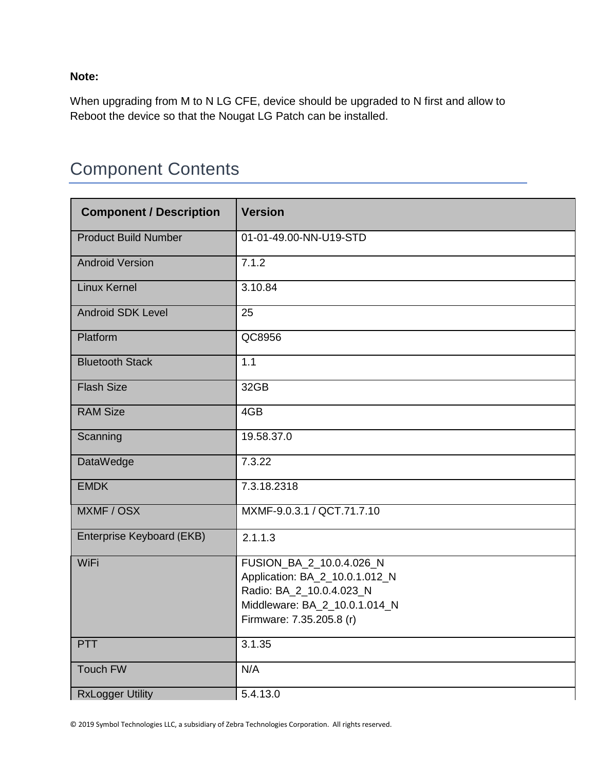**Note:**

When upgrading from M to N LG CFE, device should be upgraded to N first and allow to Reboot the device so that the Nougat LG Patch can be installed.

# <span id="page-1-0"></span>Component Contents

| <b>Component / Description</b> | <b>Version</b>                                                                                                                                      |
|--------------------------------|-----------------------------------------------------------------------------------------------------------------------------------------------------|
| <b>Product Build Number</b>    | 01-01-49.00-NN-U19-STD                                                                                                                              |
| <b>Android Version</b>         | 7.1.2                                                                                                                                               |
| <b>Linux Kernel</b>            | 3.10.84                                                                                                                                             |
| <b>Android SDK Level</b>       | 25                                                                                                                                                  |
| Platform                       | QC8956                                                                                                                                              |
| <b>Bluetooth Stack</b>         | 1.1                                                                                                                                                 |
| <b>Flash Size</b>              | 32GB                                                                                                                                                |
| <b>RAM Size</b>                | 4GB                                                                                                                                                 |
| Scanning                       | 19.58.37.0                                                                                                                                          |
| DataWedge                      | 7.3.22                                                                                                                                              |
| <b>EMDK</b>                    | 7.3.18.2318                                                                                                                                         |
| MXMF / OSX                     | MXMF-9.0.3.1 / QCT.71.7.10                                                                                                                          |
| Enterprise Keyboard (EKB)      | 2.1.1.3                                                                                                                                             |
| <b>WiFi</b>                    | FUSION_BA_2_10.0.4.026_N<br>Application: BA_2_10.0.1.012_N<br>Radio: BA_2_10.0.4.023_N<br>Middleware: BA_2_10.0.1.014_N<br>Firmware: 7.35.205.8 (r) |
| <b>PTT</b>                     | 3.1.35                                                                                                                                              |
| <b>Touch FW</b>                | N/A                                                                                                                                                 |
| <b>RxLogger Utility</b>        | 5.4.13.0                                                                                                                                            |

© 2019 Symbol Technologies LLC, a subsidiary of Zebra Technologies Corporation. All rights reserved.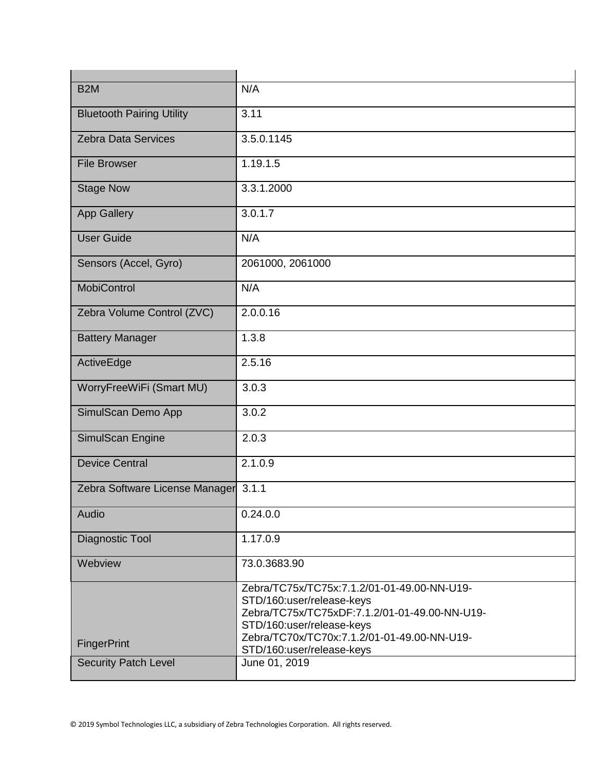| B <sub>2</sub> M                 | N/A                                                                                                                                                                                                                                |
|----------------------------------|------------------------------------------------------------------------------------------------------------------------------------------------------------------------------------------------------------------------------------|
| <b>Bluetooth Pairing Utility</b> | 3.11                                                                                                                                                                                                                               |
| <b>Zebra Data Services</b>       | 3.5.0.1145                                                                                                                                                                                                                         |
| <b>File Browser</b>              | 1.19.1.5                                                                                                                                                                                                                           |
| <b>Stage Now</b>                 | 3.3.1.2000                                                                                                                                                                                                                         |
| <b>App Gallery</b>               | 3.0.1.7                                                                                                                                                                                                                            |
| <b>User Guide</b>                | N/A                                                                                                                                                                                                                                |
| Sensors (Accel, Gyro)            | 2061000, 2061000                                                                                                                                                                                                                   |
| <b>MobiControl</b>               | N/A                                                                                                                                                                                                                                |
| Zebra Volume Control (ZVC)       | 2.0.0.16                                                                                                                                                                                                                           |
| <b>Battery Manager</b>           | 1.3.8                                                                                                                                                                                                                              |
| ActiveEdge                       | 2.5.16                                                                                                                                                                                                                             |
| WorryFreeWiFi (Smart MU)         | 3.0.3                                                                                                                                                                                                                              |
| SimulScan Demo App               | 3.0.2                                                                                                                                                                                                                              |
| <b>SimulScan Engine</b>          | 2.0.3                                                                                                                                                                                                                              |
| <b>Device Central</b>            | 2.1.0.9                                                                                                                                                                                                                            |
| Zebra Software License Manager   | 3.1.1                                                                                                                                                                                                                              |
| Audio                            | 0.24.0.0                                                                                                                                                                                                                           |
| Diagnostic Tool                  | 1.17.0.9                                                                                                                                                                                                                           |
| Webview                          | 73.0.3683.90                                                                                                                                                                                                                       |
| FingerPrint                      | Zebra/TC75x/TC75x:7.1.2/01-01-49.00-NN-U19-<br>STD/160:user/release-keys<br>Zebra/TC75x/TC75xDF:7.1.2/01-01-49.00-NN-U19-<br>STD/160:user/release-keys<br>Zebra/TC70x/TC70x:7.1.2/01-01-49.00-NN-U19-<br>STD/160:user/release-keys |
| <b>Security Patch Level</b>      | June 01, 2019                                                                                                                                                                                                                      |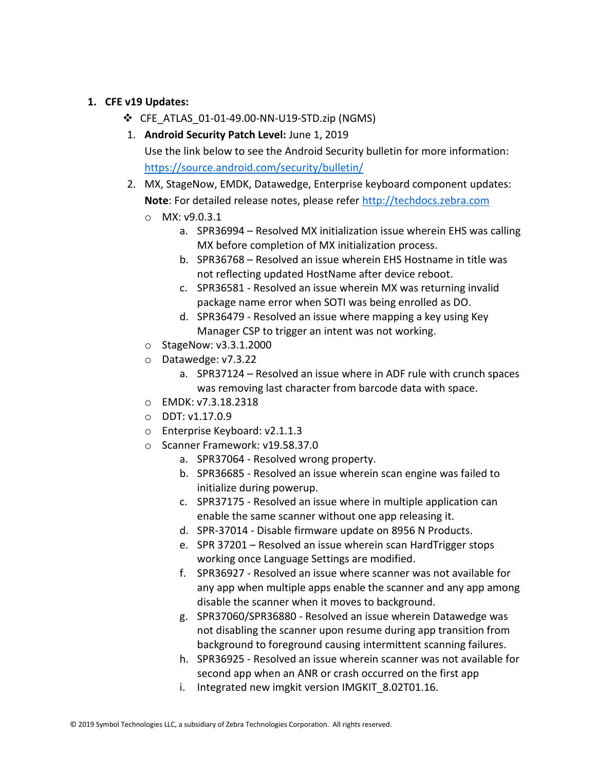#### **1. CFE v19 Updates:**

- ❖ CFE\_ATLAS\_01-01-49.00-NN-U19-STD.zip (NGMS)
- 1. **Android Security Patch Level:** June 1, 2019 Use the link below to see the Android Security bulletin for more information: <https://source.android.com/security/bulletin/>
- 2. MX, StageNow, EMDK, Datawedge, Enterprise keyboard component updates: **Note**: For detailed release notes, please refer [http://techdocs.zebra.com](http://techdocs.zebra.com/)
	- o MX: v9.0.3.1
		- a. SPR36994 Resolved MX initialization issue wherein EHS was calling MX before completion of MX initialization process.
		- b. SPR36768 Resolved an issue wherein EHS Hostname in title was not reflecting updated HostName after device reboot.
		- c. SPR36581 Resolved an issue wherein MX was returning invalid package name error when SOTI was being enrolled as DO.
		- d. SPR36479 Resolved an issue where mapping a key using Key Manager CSP to trigger an intent was not working.
	- o StageNow: v3.3.1.2000
	- o Datawedge: v7.3.22
		- a. SPR37124 Resolved an issue where in ADF rule with crunch spaces was removing last character from barcode data with space.
	- o EMDK: v7.3.18.2318
	- o DDT: v1.17.0.9
	- o Enterprise Keyboard: v2.1.1.3
	- o Scanner Framework: v19.58.37.0
		- a. SPR37064 Resolved wrong property.
		- b. SPR36685 Resolved an issue wherein scan engine was failed to initialize during powerup.
		- c. SPR37175 Resolved an issue where in multiple application can enable the same scanner without one app releasing it.
		- d. SPR-37014 Disable firmware update on 8956 N Products.
		- e. SPR 37201 Resolved an issue wherein scan HardTrigger stops working once Language Settings are modified.
		- f. SPR36927 Resolved an issue where scanner was not available for any app when multiple apps enable the scanner and any app among disable the scanner when it moves to background.
		- g. SPR37060/SPR36880 Resolved an issue wherein Datawedge was not disabling the scanner upon resume during app transition from background to foreground causing intermittent scanning failures.
		- h. SPR36925 Resolved an issue wherein scanner was not available for second app when an ANR or crash occurred on the first app
		- i. Integrated new imgkit version IMGKIT\_8.02T01.16.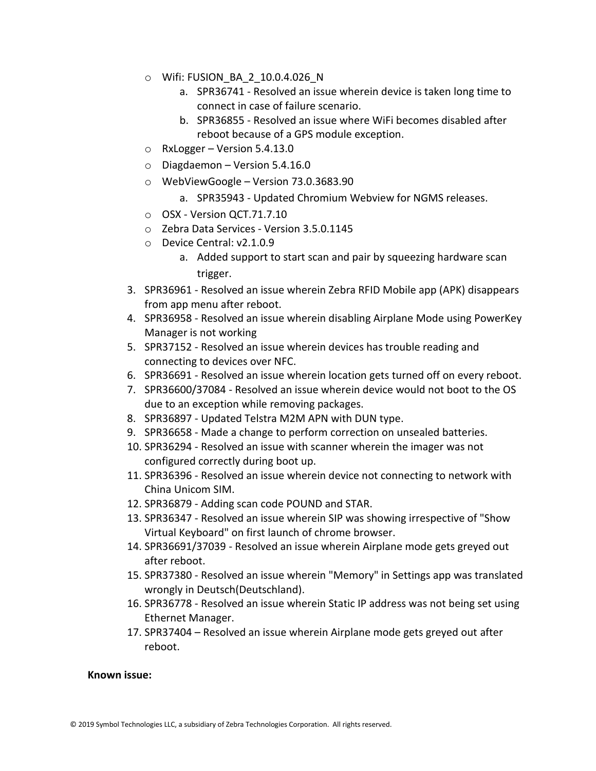- o Wifi: FUSION\_BA\_2\_10.0.4.026\_N
	- a. SPR36741 Resolved an issue wherein device is taken long time to connect in case of failure scenario.
	- b. SPR36855 Resolved an issue where WiFi becomes disabled after reboot because of a GPS module exception.
- o RxLogger Version 5.4.13.0
- $\circ$  Diagdaemon Version 5.4.16.0
- o WebViewGoogle Version 73.0.3683.90
	- a. SPR35943 Updated Chromium Webview for NGMS releases.
- o OSX Version QCT.71.7.10
- o Zebra Data Services Version 3.5.0.1145
- o Device Central: v2.1.0.9
	- a. Added support to start scan and pair by squeezing hardware scan trigger.
- 3. SPR36961 Resolved an issue wherein Zebra RFID Mobile app (APK) disappears from app menu after reboot.
- 4. SPR36958 Resolved an issue wherein disabling Airplane Mode using PowerKey Manager is not working
- 5. SPR37152 Resolved an issue wherein devices has trouble reading and connecting to devices over NFC.
- 6. SPR36691 Resolved an issue wherein location gets turned off on every reboot.
- 7. SPR36600/37084 Resolved an issue wherein device would not boot to the OS due to an exception while removing packages.
- 8. SPR36897 Updated Telstra M2M APN with DUN type.
- 9. SPR36658 Made a change to perform correction on unsealed batteries.
- 10. SPR36294 Resolved an issue with scanner wherein the imager was not configured correctly during boot up.
- 11. SPR36396 Resolved an issue wherein device not connecting to network with China Unicom SIM.
- 12. SPR36879 Adding scan code POUND and STAR.
- 13. SPR36347 Resolved an issue wherein SIP was showing irrespective of "Show Virtual Keyboard" on first launch of chrome browser.
- 14. SPR36691/37039 Resolved an issue wherein Airplane mode gets greyed out after reboot.
- 15. SPR37380 Resolved an issue wherein "Memory" in Settings app was translated wrongly in Deutsch(Deutschland).
- 16. SPR36778 Resolved an issue wherein Static IP address was not being set using Ethernet Manager.
- 17. SPR37404 Resolved an issue wherein Airplane mode gets greyed out after reboot.

#### **Known issue:**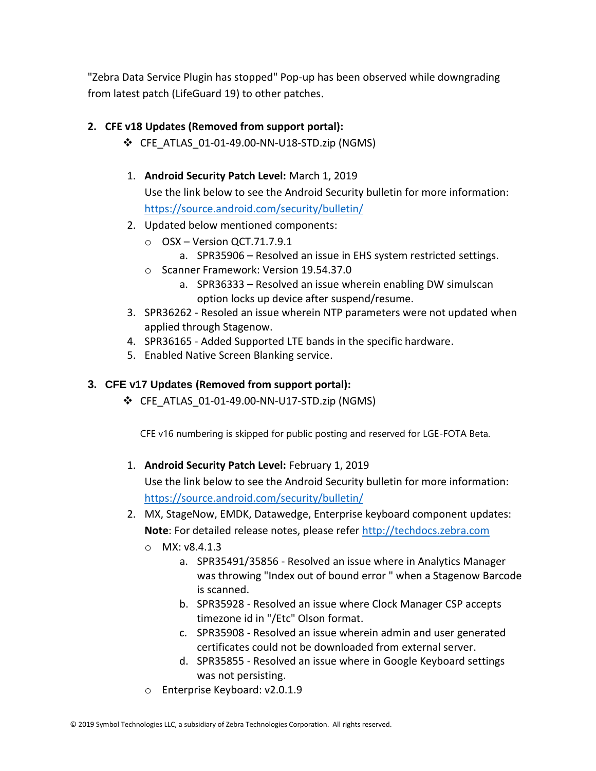"Zebra Data Service Plugin has stopped" Pop-up has been observed while downgrading from latest patch (LifeGuard 19) to other patches.

#### **2. CFE v18 Updates (Removed from support portal):**

- ❖ CFE\_ATLAS\_01-01-49.00-NN-U18-STD.zip (NGMS)
- 1. **Android Security Patch Level:** March 1, 2019 Use the link below to see the Android Security bulletin for more information: <https://source.android.com/security/bulletin/>
- 2. Updated below mentioned components:
	- o OSX Version QCT.71.7.9.1 a. SPR35906 – Resolved an issue in EHS system restricted settings.
	- o Scanner Framework: Version 19.54.37.0
		- a. SPR36333 Resolved an issue wherein enabling DW simulscan option locks up device after suspend/resume.
- 3. SPR36262 Resoled an issue wherein NTP parameters were not updated when applied through Stagenow.
- 4. SPR36165 Added Supported LTE bands in the specific hardware.
- 5. Enabled Native Screen Blanking service.

#### **3. CFE v17 Updates (Removed from support portal):**

❖ CFE\_ATLAS\_01-01-49.00-NN-U17-STD.zip (NGMS)

CFE v16 numbering is skipped for public posting and reserved for LGE-FOTA Beta.

1. **Android Security Patch Level:** February 1, 2019

Use the link below to see the Android Security bulletin for more information: <https://source.android.com/security/bulletin/>

- 2. MX, StageNow, EMDK, Datawedge, Enterprise keyboard component updates: **Note**: For detailed release notes, please refer [http://techdocs.zebra.com](http://techdocs.zebra.com/)
	- o MX: v8.4.1.3
		- a. SPR35491/35856 Resolved an issue where in Analytics Manager was throwing "Index out of bound error " when a Stagenow Barcode is scanned.
		- b. SPR35928 Resolved an issue where Clock Manager CSP accepts timezone id in "/Etc" Olson format.
		- c. SPR35908 Resolved an issue wherein admin and user generated certificates could not be downloaded from external server.
		- d. SPR35855 Resolved an issue where in Google Keyboard settings was not persisting.
	- o Enterprise Keyboard: v2.0.1.9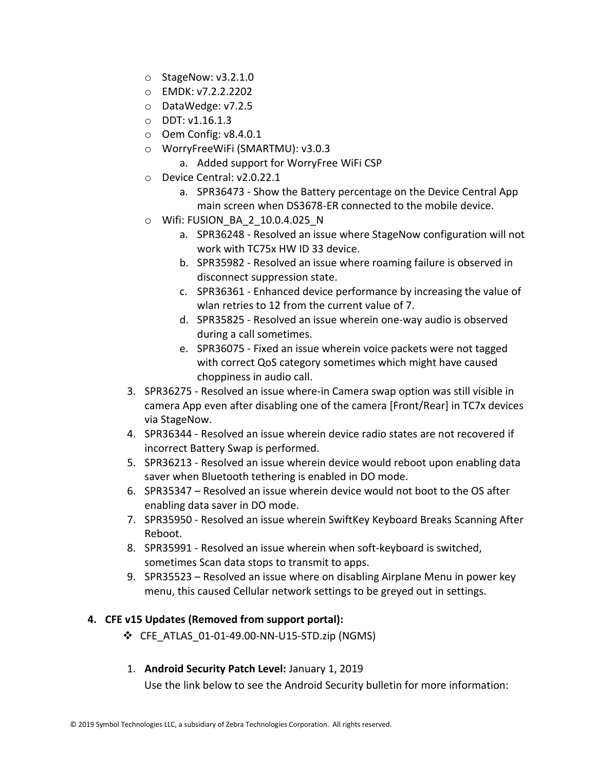- o StageNow: v3.2.1.0
- o EMDK: v7.2.2.2202
- o DataWedge: v7.2.5
- o DDT: v1.16.1.3
- o Oem Config: v8.4.0.1
- o WorryFreeWiFi (SMARTMU): v3.0.3
	- a. Added support for WorryFree WiFi CSP
- o Device Central: v2.0.22.1
	- a. SPR36473 Show the Battery percentage on the Device Central App main screen when DS3678-ER connected to the mobile device.
- o Wifi: FUSION\_BA\_2\_10.0.4.025\_N
	- a. SPR36248 Resolved an issue where StageNow configuration will not work with TC75x HW ID 33 device.
	- b. SPR35982 Resolved an issue where roaming failure is observed in disconnect suppression state.
	- c. SPR36361 Enhanced device performance by increasing the value of wlan retries to 12 from the current value of 7.
	- d. SPR35825 Resolved an issue wherein one-way audio is observed during a call sometimes.
	- e. SPR36075 Fixed an issue wherein voice packets were not tagged with correct QoS category sometimes which might have caused choppiness in audio call.
- 3. SPR36275 Resolved an issue where-in Camera swap option was still visible in camera App even after disabling one of the camera [Front/Rear] in TC7x devices via StageNow.
- 4. SPR36344 Resolved an issue wherein device radio states are not recovered if incorrect Battery Swap is performed.
- 5. SPR36213 Resolved an issue wherein device would reboot upon enabling data saver when Bluetooth tethering is enabled in DO mode.
- 6. SPR35347 Resolved an issue wherein device would not boot to the OS after enabling data saver in DO mode.
- 7. SPR35950 Resolved an issue wherein SwiftKey Keyboard Breaks Scanning After Reboot.
- 8. SPR35991 Resolved an issue wherein when soft-keyboard is switched, sometimes Scan data stops to transmit to apps.
- 9. SPR35523 Resolved an issue where on disabling Airplane Menu in power key menu, this caused Cellular network settings to be greyed out in settings.

#### **4. CFE v15 Updates (Removed from support portal):**

- ❖ CFE\_ATLAS\_01-01-49.00-NN-U15-STD.zip (NGMS)
- 1. **Android Security Patch Level:** January 1, 2019

Use the link below to see the Android Security bulletin for more information: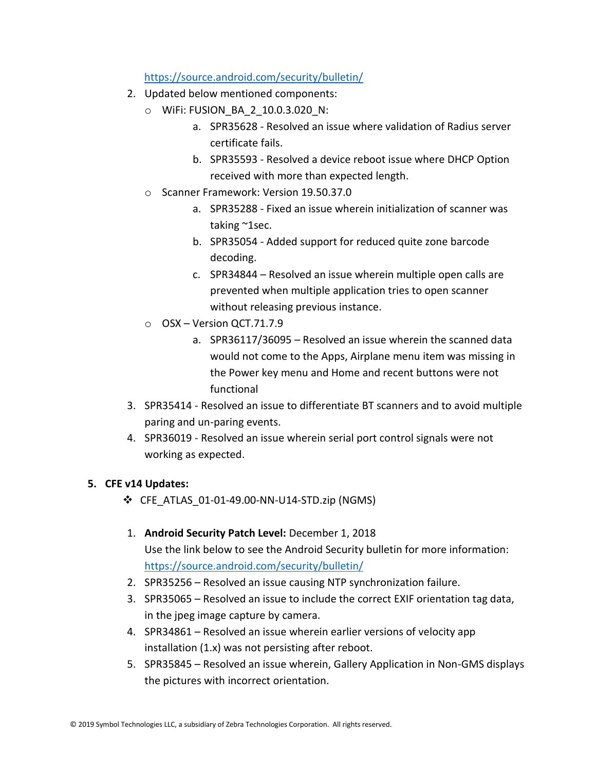#### <https://source.android.com/security/bulletin/>

- 2. Updated below mentioned components:
	- o WiFi: FUSION\_BA\_2\_10.0.3.020\_N:
		- a. SPR35628 Resolved an issue where validation of Radius server certificate fails.
		- b. SPR35593 Resolved a device reboot issue where DHCP Option received with more than expected length.
	- o Scanner Framework: Version 19.50.37.0
		- a. SPR35288 Fixed an issue wherein initialization of scanner was taking ~1sec.
		- b. SPR35054 Added support for reduced quite zone barcode decoding.
		- c. SPR34844 Resolved an issue wherein multiple open calls are prevented when multiple application tries to open scanner without releasing previous instance.
	- o OSX Version QCT.71.7.9
		- a. SPR36117/36095 Resolved an issue wherein the scanned data would not come to the Apps, Airplane menu item was missing in the Power key menu and Home and recent buttons were not functional
- 3. SPR35414 Resolved an issue to differentiate BT scanners and to avoid multiple paring and un-paring events.
- 4. SPR36019 Resolved an issue wherein serial port control signals were not working as expected.

#### **5. CFE v14 Updates:**

- ❖ CFE\_ATLAS\_01-01-49.00-NN-U14-STD.zip (NGMS)
- 1. **Android Security Patch Level:** December 1, 2018 Use the link below to see the Android Security bulletin for more information: <https://source.android.com/security/bulletin/>
- 2. SPR35256 Resolved an issue causing NTP synchronization failure.
- 3. SPR35065 Resolved an issue to include the correct EXIF orientation tag data, in the jpeg image capture by camera.
- 4. SPR34861 Resolved an issue wherein earlier versions of velocity app installation (1.x) was not persisting after reboot.
- 5. SPR35845 Resolved an issue wherein, Gallery Application in Non-GMS displays the pictures with incorrect orientation.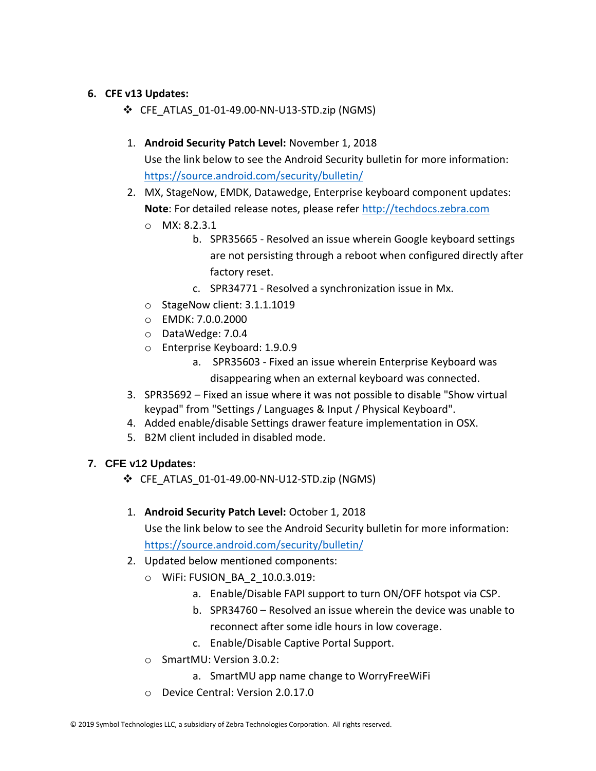#### **6. CFE v13 Updates:**

- ❖ CFE\_ATLAS\_01-01-49.00-NN-U13-STD.zip (NGMS)
- 1. **Android Security Patch Level:** November 1, 2018 Use the link below to see the Android Security bulletin for more information: <https://source.android.com/security/bulletin/>

2. MX, StageNow, EMDK, Datawedge, Enterprise keyboard component updates: **Note**: For detailed release notes, please refer [http://techdocs.zebra.com](http://techdocs.zebra.com/)

- o MX: 8.2.3.1
	- b. SPR35665 Resolved an issue wherein Google keyboard settings are not persisting through a reboot when configured directly after factory reset.
	- c. SPR34771 Resolved a synchronization issue in Mx.
- o StageNow client: 3.1.1.1019
- o EMDK: 7.0.0.2000
- o DataWedge: 7.0.4
- o Enterprise Keyboard: 1.9.0.9
	- a. SPR35603 Fixed an issue wherein Enterprise Keyboard was disappearing when an external keyboard was connected.
- 3. SPR35692 Fixed an issue where it was not possible to disable "Show virtual keypad" from "Settings / Languages & Input / Physical Keyboard".
- 4. Added enable/disable Settings drawer feature implementation in OSX.
- 5. B2M client included in disabled mode.

#### **7. CFE v12 Updates:**

- ❖ CFE\_ATLAS\_01-01-49.00-NN-U12-STD.zip (NGMS)
- 1. **Android Security Patch Level:** October 1, 2018 Use the link below to see the Android Security bulletin for more information: <https://source.android.com/security/bulletin/>
- 2. Updated below mentioned components:
	- o WiFi: FUSION\_BA\_2\_10.0.3.019:
		- a. Enable/Disable FAPI support to turn ON/OFF hotspot via CSP.
		- b. SPR34760 Resolved an issue wherein the device was unable to reconnect after some idle hours in low coverage.
		- c. Enable/Disable Captive Portal Support.
	- o SmartMU: Version 3.0.2:
		- a. SmartMU app name change to WorryFreeWiFi
	- o Device Central: Version 2.0.17.0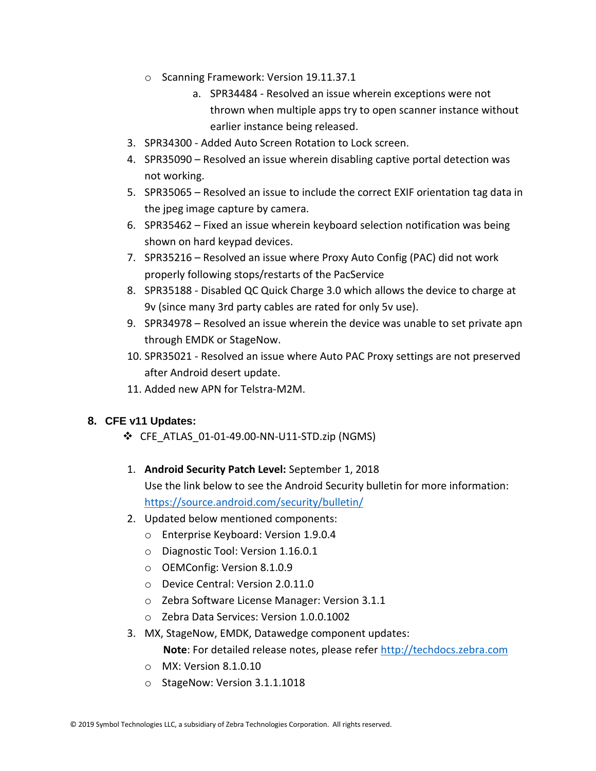- o Scanning Framework: Version 19.11.37.1
	- a. SPR34484 Resolved an issue wherein exceptions were not thrown when multiple apps try to open scanner instance without earlier instance being released.
- 3. SPR34300 Added Auto Screen Rotation to Lock screen.
- 4. SPR35090 Resolved an issue wherein disabling captive portal detection was not working.
- 5. SPR35065 Resolved an issue to include the correct EXIF orientation tag data in the jpeg image capture by camera.
- 6. SPR35462 Fixed an issue wherein keyboard selection notification was being shown on hard keypad devices.
- 7. SPR35216 Resolved an issue where Proxy Auto Config (PAC) did not work properly following stops/restarts of the PacService
- 8. SPR35188 Disabled QC Quick Charge 3.0 which allows the device to charge at 9v (since many 3rd party cables are rated for only 5v use).
- 9. SPR34978 Resolved an issue wherein the device was unable to set private apn through EMDK or StageNow.
- 10. SPR35021 Resolved an issue where Auto PAC Proxy settings are not preserved after Android desert update.
- 11. Added new APN for Telstra-M2M.

#### **8. CFE v11 Updates:**

- ❖ CFE\_ATLAS\_01-01-49.00-NN-U11-STD.zip (NGMS)
- 1. **Android Security Patch Level:** September 1, 2018 Use the link below to see the Android Security bulletin for more information: <https://source.android.com/security/bulletin/>
- 2. Updated below mentioned components:
	- o Enterprise Keyboard: Version 1.9.0.4
	- o Diagnostic Tool: Version 1.16.0.1
	- o OEMConfig: Version 8.1.0.9
	- o Device Central: Version 2.0.11.0
	- o Zebra Software License Manager: Version 3.1.1
	- o Zebra Data Services: Version 1.0.0.1002
- 3. MX, StageNow, EMDK, Datawedge component updates:
	- **Note**: For detailed release notes, please refer [http://techdocs.zebra.com](http://techdocs.zebra.com/)
	- o MX: Version 8.1.0.10
	- o StageNow: Version 3.1.1.1018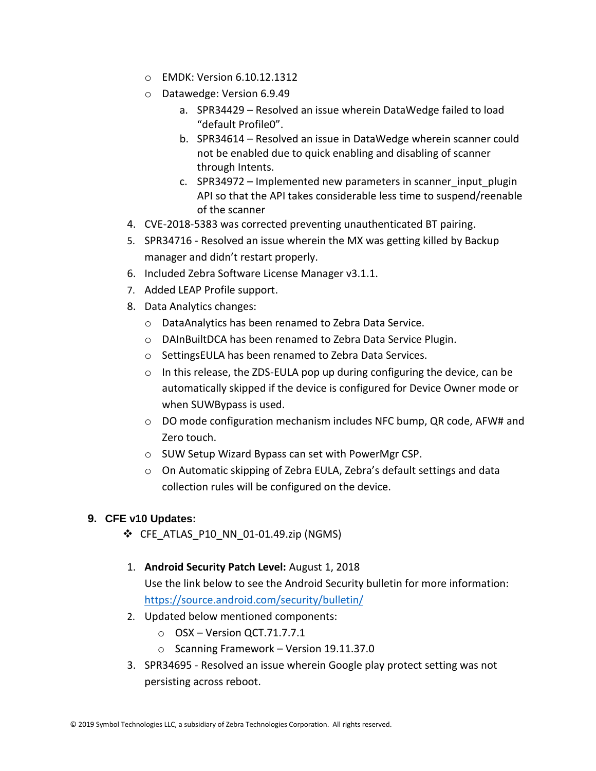- o EMDK: Version 6.10.12.1312
- o Datawedge: Version 6.9.49
	- a. SPR34429 Resolved an issue wherein DataWedge failed to load "default Profile0".
	- b. SPR34614 Resolved an issue in DataWedge wherein scanner could not be enabled due to quick enabling and disabling of scanner through Intents.
	- c. SPR34972 Implemented new parameters in scanner\_input\_plugin API so that the API takes considerable less time to suspend/reenable of the scanner
- 4. CVE-2018-5383 was corrected preventing unauthenticated BT pairing.
- 5. SPR34716 Resolved an issue wherein the MX was getting killed by Backup manager and didn't restart properly.
- 6. Included Zebra Software License Manager v3.1.1.
- 7. Added LEAP Profile support.
- 8. Data Analytics changes:
	- o DataAnalytics has been renamed to Zebra Data Service.
	- o DAInBuiltDCA has been renamed to Zebra Data Service Plugin.
	- o SettingsEULA has been renamed to Zebra Data Services.
	- $\circ$  In this release, the ZDS-EULA pop up during configuring the device, can be automatically skipped if the device is configured for Device Owner mode or when SUWBypass is used.
	- $\circ$  DO mode configuration mechanism includes NFC bump, QR code, AFW# and Zero touch.
	- o SUW Setup Wizard Bypass can set with PowerMgr CSP.
	- o On Automatic skipping of Zebra EULA, Zebra's default settings and data collection rules will be configured on the device.

#### **9. CFE v10 Updates:**

- ❖ CFE\_ATLAS\_P10\_NN\_01-01.49.zip (NGMS)
- 1. **Android Security Patch Level:** August 1, 2018 Use the link below to see the Android Security bulletin for more information: <https://source.android.com/security/bulletin/>
- 2. Updated below mentioned components:
	- o OSX Version QCT.71.7.7.1
	- o Scanning Framework Version 19.11.37.0
- 3. SPR34695 Resolved an issue wherein Google play protect setting was not persisting across reboot.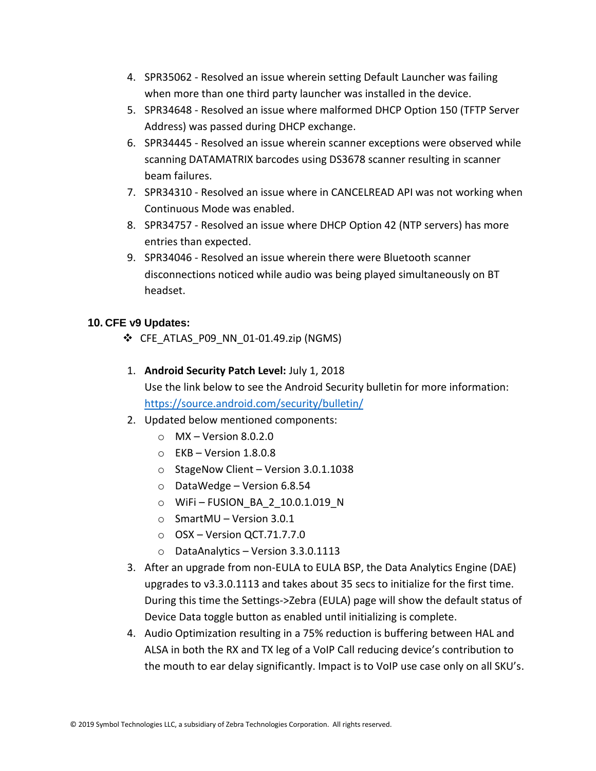- 4. SPR35062 Resolved an issue wherein setting Default Launcher was failing when more than one third party launcher was installed in the device.
- 5. SPR34648 Resolved an issue where malformed DHCP Option 150 (TFTP Server Address) was passed during DHCP exchange.
- 6. SPR34445 Resolved an issue wherein scanner exceptions were observed while scanning DATAMATRIX barcodes using DS3678 scanner resulting in scanner beam failures.
- 7. SPR34310 Resolved an issue where in CANCELREAD API was not working when Continuous Mode was enabled.
- 8. SPR34757 Resolved an issue where DHCP Option 42 (NTP servers) has more entries than expected.
- 9. SPR34046 Resolved an issue wherein there were Bluetooth scanner disconnections noticed while audio was being played simultaneously on BT headset.

#### **10. CFE v9 Updates:**

- ❖ CFE\_ATLAS\_P09\_NN\_01-01.49.zip (NGMS)
- 1. **Android Security Patch Level:** July 1, 2018 Use the link below to see the Android Security bulletin for more information: <https://source.android.com/security/bulletin/>
- 2. Updated below mentioned components:
	- $\circ$  MX Version 8.0.2.0
	- $\circ$  EKB Version 1.8.0.8
	- o StageNow Client Version 3.0.1.1038
	- o DataWedge Version 6.8.54
	- o WiFi FUSION\_BA\_2\_10.0.1.019\_N
	- o SmartMU Version 3.0.1
	- o OSX Version QCT.71.7.7.0
	- o DataAnalytics Version 3.3.0.1113
- 3. After an upgrade from non-EULA to EULA BSP, the Data Analytics Engine (DAE) upgrades to v3.3.0.1113 and takes about 35 secs to initialize for the first time. During this time the Settings->Zebra (EULA) page will show the default status of Device Data toggle button as enabled until initializing is complete.
- 4. Audio Optimization resulting in a 75% reduction is buffering between HAL and ALSA in both the RX and TX leg of a VoIP Call reducing device's contribution to the mouth to ear delay significantly. Impact is to VoIP use case only on all SKU's.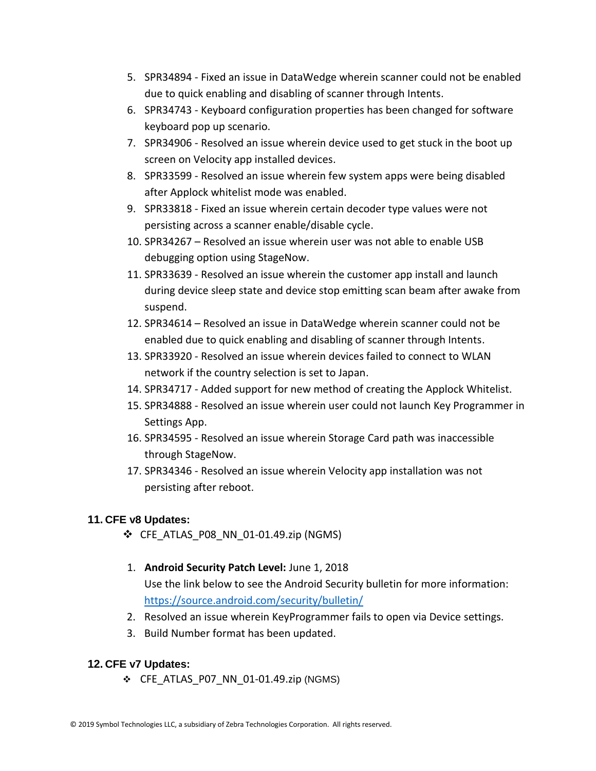- 5. SPR34894 Fixed an issue in DataWedge wherein scanner could not be enabled due to quick enabling and disabling of scanner through Intents.
- 6. SPR34743 Keyboard configuration properties has been changed for software keyboard pop up scenario.
- 7. SPR34906 Resolved an issue wherein device used to get stuck in the boot up screen on Velocity app installed devices.
- 8. SPR33599 Resolved an issue wherein few system apps were being disabled after Applock whitelist mode was enabled.
- 9. SPR33818 Fixed an issue wherein certain decoder type values were not persisting across a scanner enable/disable cycle.
- 10. SPR34267 Resolved an issue wherein user was not able to enable USB debugging option using StageNow.
- 11. SPR33639 Resolved an issue wherein the customer app install and launch during device sleep state and device stop emitting scan beam after awake from suspend.
- 12. SPR34614 Resolved an issue in DataWedge wherein scanner could not be enabled due to quick enabling and disabling of scanner through Intents.
- 13. SPR33920 Resolved an issue wherein devices failed to connect to WLAN network if the country selection is set to Japan.
- 14. SPR34717 Added support for new method of creating the Applock Whitelist.
- 15. SPR34888 Resolved an issue wherein user could not launch Key Programmer in Settings App.
- 16. SPR34595 Resolved an issue wherein Storage Card path was inaccessible through StageNow.
- 17. SPR34346 Resolved an issue wherein Velocity app installation was not persisting after reboot.

#### **11. CFE v8 Updates:**

- ❖ CFE\_ATLAS\_P08\_NN\_01-01.49.zip (NGMS)
- 1. **Android Security Patch Level:** June 1, 2018 Use the link below to see the Android Security bulletin for more information: <https://source.android.com/security/bulletin/>
- 2. Resolved an issue wherein KeyProgrammer fails to open via Device settings.
- 3. Build Number format has been updated.

#### **12. CFE v7 Updates:**

❖ CFE\_ATLAS\_P07\_NN\_01-01.49.zip (NGMS)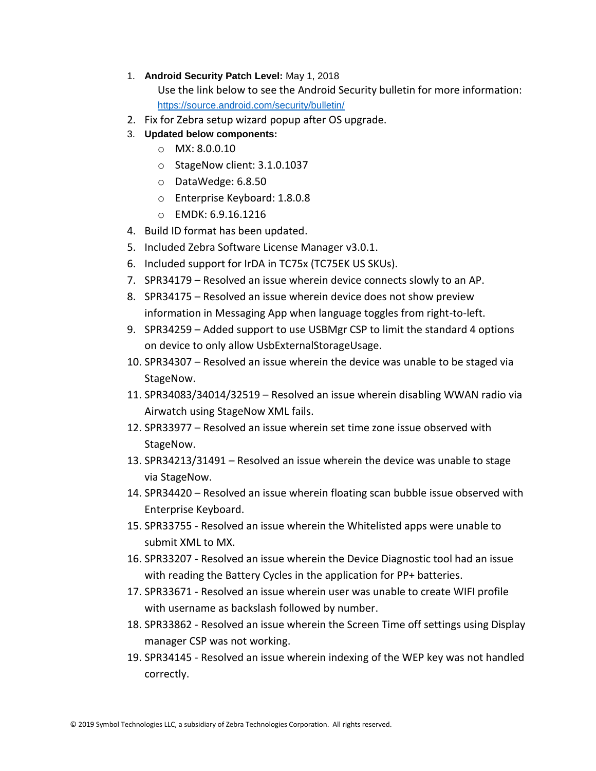1. **Android Security Patch Level:** May 1, 2018

Use the link below to see the Android Security bulletin for more information: <https://source.android.com/security/bulletin/>

- 2. Fix for Zebra setup wizard popup after OS upgrade.
- 3. **Updated below components:**
	- o MX: 8.0.0.10
	- o StageNow client: 3.1.0.1037
	- o DataWedge: 6.8.50
	- o Enterprise Keyboard: 1.8.0.8
	- o EMDK: 6.9.16.1216
- 4. Build ID format has been updated.
- 5. Included Zebra Software License Manager v3.0.1.
- 6. Included support for IrDA in TC75x (TC75EK US SKUs).
- 7. SPR34179 Resolved an issue wherein device connects slowly to an AP.
- 8. SPR34175 Resolved an issue wherein device does not show preview information in Messaging App when language toggles from right-to-left.
- 9. SPR34259 Added support to use USBMgr CSP to limit the standard 4 options on device to only allow UsbExternalStorageUsage.
- 10. SPR34307 Resolved an issue wherein the device was unable to be staged via StageNow.
- 11. SPR34083/34014/32519 Resolved an issue wherein disabling WWAN radio via Airwatch using StageNow XML fails.
- 12. SPR33977 Resolved an issue wherein set time zone issue observed with StageNow.
- 13. SPR34213/31491 Resolved an issue wherein the device was unable to stage via StageNow.
- 14. SPR34420 Resolved an issue wherein floating scan bubble issue observed with Enterprise Keyboard.
- 15. SPR33755 Resolved an issue wherein the Whitelisted apps were unable to submit XML to MX.
- 16. SPR33207 Resolved an issue wherein the Device Diagnostic tool had an issue with reading the Battery Cycles in the application for PP+ batteries.
- 17. SPR33671 Resolved an issue wherein user was unable to create WIFI profile with username as backslash followed by number.
- 18. SPR33862 Resolved an issue wherein the Screen Time off settings using Display manager CSP was not working.
- 19. SPR34145 Resolved an issue wherein indexing of the WEP key was not handled correctly.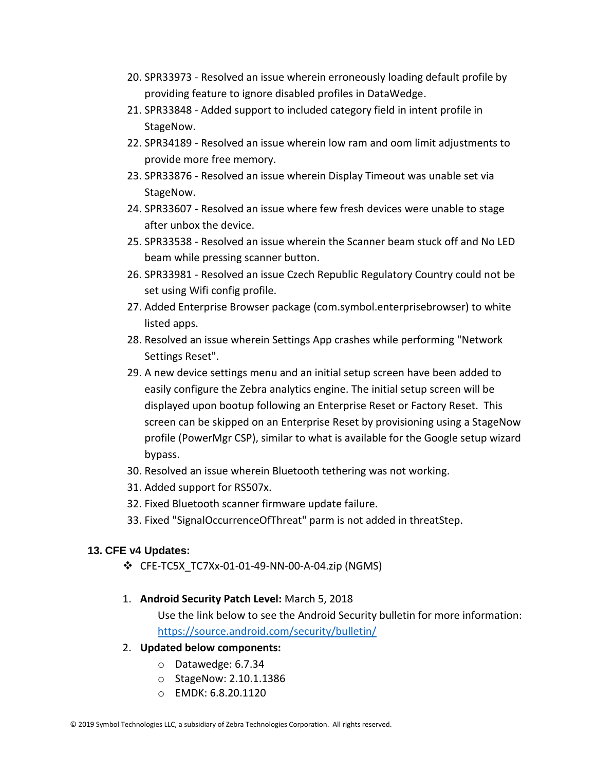- 20. SPR33973 Resolved an issue wherein erroneously loading default profile by providing feature to ignore disabled profiles in DataWedge.
- 21. SPR33848 Added support to included category field in intent profile in StageNow.
- 22. SPR34189 Resolved an issue wherein low ram and oom limit adjustments to provide more free memory.
- 23. SPR33876 Resolved an issue wherein Display Timeout was unable set via StageNow.
- 24. SPR33607 Resolved an issue where few fresh devices were unable to stage after unbox the device.
- 25. SPR33538 Resolved an issue wherein the Scanner beam stuck off and No LED beam while pressing scanner button.
- 26. SPR33981 Resolved an issue Czech Republic Regulatory Country could not be set using Wifi config profile.
- 27. Added Enterprise Browser package (com.symbol.enterprisebrowser) to white listed apps.
- 28. Resolved an issue wherein Settings App crashes while performing "Network Settings Reset".
- 29. A new device settings menu and an initial setup screen have been added to easily configure the Zebra analytics engine. The initial setup screen will be displayed upon bootup following an Enterprise Reset or Factory Reset. This screen can be skipped on an Enterprise Reset by provisioning using a StageNow profile (PowerMgr CSP), similar to what is available for the Google setup wizard bypass.
- 30. Resolved an issue wherein Bluetooth tethering was not working.
- 31. Added support for RS507x.
- 32. Fixed Bluetooth scanner firmware update failure.
- 33. Fixed "SignalOccurrenceOfThreat" parm is not added in threatStep.

#### **13. CFE v4 Updates:**

- ❖ CFE-TC5X\_TC7Xx-01-01-49-NN-00-A-04.zip (NGMS)
- 1. **Android Security Patch Level:** March 5, 2018

Use the link below to see the Android Security bulletin for more information: <https://source.android.com/security/bulletin/>

#### 2. **Updated below components:**

- o Datawedge: 6.7.34
- o StageNow: 2.10.1.1386
- o EMDK: 6.8.20.1120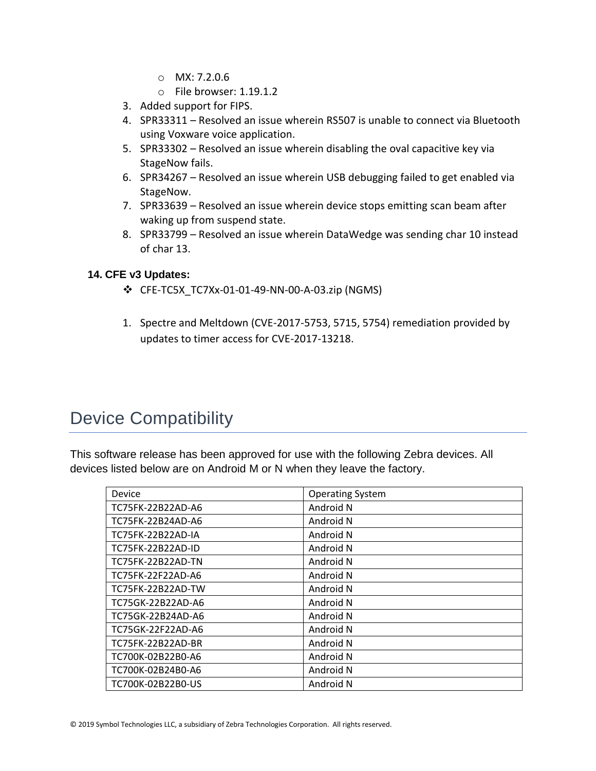- $O$  MX: 7.2.0.6
- o File browser: 1.19.1.2
- 3. Added support for FIPS.
- 4. SPR33311 Resolved an issue wherein RS507 is unable to connect via Bluetooth using Voxware voice application.
- 5. SPR33302 Resolved an issue wherein disabling the oval capacitive key via StageNow fails.
- 6. SPR34267 Resolved an issue wherein USB debugging failed to get enabled via StageNow.
- 7. SPR33639 Resolved an issue wherein device stops emitting scan beam after waking up from suspend state.
- 8. SPR33799 Resolved an issue wherein DataWedge was sending char 10 instead of char 13.

#### **14. CFE v3 Updates:**

- ❖ CFE-TC5X\_TC7Xx-01-01-49-NN-00-A-03.zip (NGMS)
- 1. Spectre and Meltdown (CVE-2017-5753, 5715, 5754) remediation provided by updates to timer access for CVE-2017-13218.

# <span id="page-15-0"></span>Device Compatibility

This software release has been approved for use with the following Zebra devices. All devices listed below are on Android M or N when they leave the factory.

| Device                   | <b>Operating System</b> |
|--------------------------|-------------------------|
| TC75FK-22B22AD-A6        | Android N               |
| TC75FK-22B24AD-A6        | Android N               |
| TC75FK-22B22AD-IA        | Android N               |
| TC75FK-22B22AD-ID        | Android N               |
| <b>TC75FK-22B22AD-TN</b> | Android N               |
| TC75FK-22F22AD-A6        | Android N               |
| TC75FK-22B22AD-TW        | Android N               |
| TC75GK-22B22AD-A6        | Android N               |
| TC75GK-22B24AD-A6        | Android N               |
| TC75GK-22F22AD-A6        | Android N               |
| TC75FK-22B22AD-BR        | Android N               |
| TC700K-02B22B0-A6        | Android N               |
| TC700K-02B24B0-A6        | Android N               |
| TC700K-02B22B0-US        | Android N               |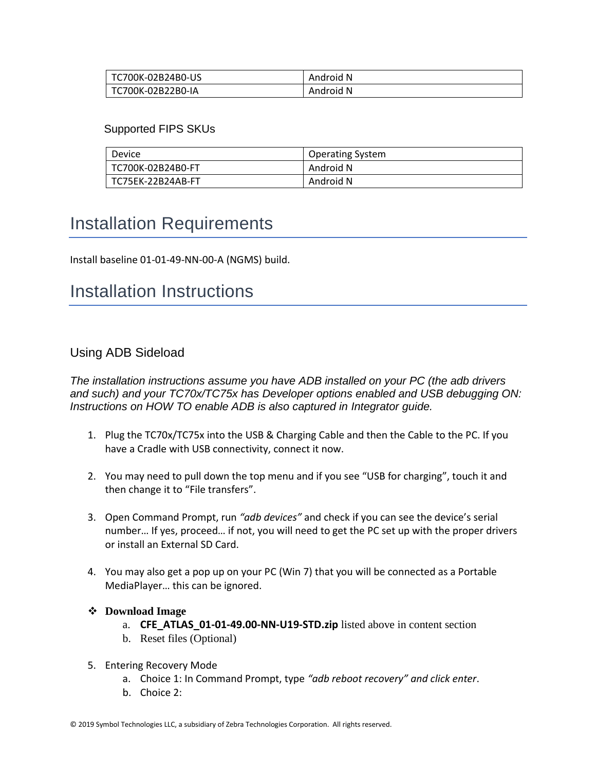| TC700K-02B24B0-US | Android N |
|-------------------|-----------|
| TC700K-02B22B0-IA | Android N |

#### Supported FIPS SKUs

| Device            | <b>Operating System</b> |
|-------------------|-------------------------|
| TC700K-02B24B0-FT | Android N               |
| TC75EK-22B24AB-FT | Android N               |

# <span id="page-16-0"></span>Installation Requirements

Install baseline 01-01-49-NN-00-A (NGMS) build.

### <span id="page-16-1"></span>Installation Instructions

#### Using ADB Sideload

*The installation instructions assume you have ADB installed on your PC (the adb drivers and such) and your TC70x/TC75x has Developer options enabled and USB debugging ON: Instructions on HOW TO enable ADB is also captured in Integrator guide.*

- 1. Plug the TC70x/TC75x into the USB & Charging Cable and then the Cable to the PC. If you have a Cradle with USB connectivity, connect it now.
- 2. You may need to pull down the top menu and if you see "USB for charging", touch it and then change it to "File transfers".
- 3. Open Command Prompt, run *"adb devices"* and check if you can see the device's serial number… If yes, proceed… if not, you will need to get the PC set up with the proper drivers or install an External SD Card.
- 4. You may also get a pop up on your PC (Win 7) that you will be connected as a Portable MediaPlayer… this can be ignored.

#### ❖ **Download Image**

- a. **CFE\_ATLAS\_01-01-49.00-NN-U19-STD.zip** listed above in content section
- b. Reset files (Optional)
- 5. Entering Recovery Mode
	- a. Choice 1: In Command Prompt, type *"adb reboot recovery" and click enter*.
	- b. Choice 2: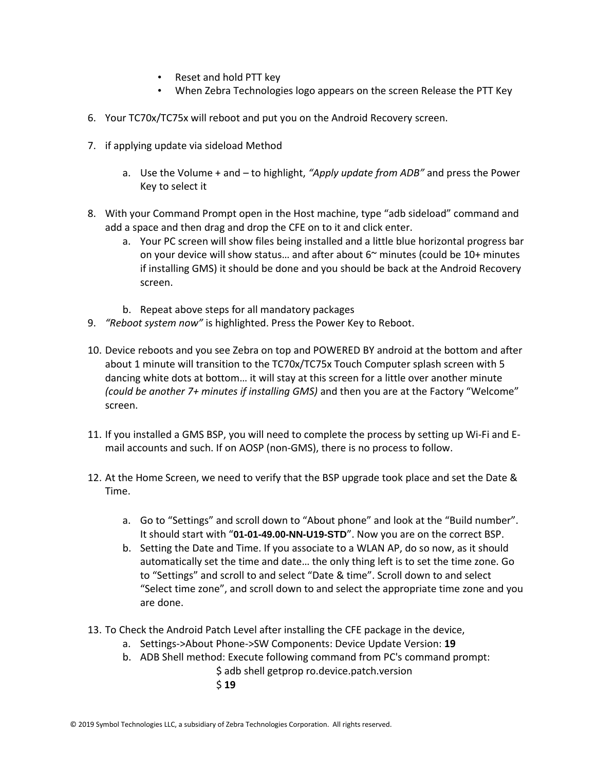- Reset and hold PTT key
- When Zebra Technologies logo appears on the screen Release the PTT Key
- 6. Your TC70x/TC75x will reboot and put you on the Android Recovery screen.
- 7. if applying update via sideload Method
	- a. Use the Volume + and to highlight, *"Apply update from ADB"* and press the Power Key to select it
- 8. With your Command Prompt open in the Host machine, type "adb sideload" command and add a space and then drag and drop the CFE on to it and click enter.
	- a. Your PC screen will show files being installed and a little blue horizontal progress bar on your device will show status... and after about  $6<sup>th</sup>$  minutes (could be 10+ minutes if installing GMS) it should be done and you should be back at the Android Recovery screen.
	- b. Repeat above steps for all mandatory packages
- 9. *"Reboot system now"* is highlighted. Press the Power Key to Reboot.
- 10. Device reboots and you see Zebra on top and POWERED BY android at the bottom and after about 1 minute will transition to the TC70x/TC75x Touch Computer splash screen with 5 dancing white dots at bottom… it will stay at this screen for a little over another minute *(could be another 7+ minutes if installing GMS)* and then you are at the Factory "Welcome" screen.
- 11. If you installed a GMS BSP, you will need to complete the process by setting up Wi‐Fi and E‐ mail accounts and such. If on AOSP (non‐GMS), there is no process to follow.
- 12. At the Home Screen, we need to verify that the BSP upgrade took place and set the Date & Time.
	- a. Go to "Settings" and scroll down to "About phone" and look at the "Build number". It should start with "**01-01-49.00-NN-U19-STD**". Now you are on the correct BSP.
	- b. Setting the Date and Time. If you associate to a WLAN AP, do so now, as it should automatically set the time and date… the only thing left is to set the time zone. Go to "Settings" and scroll to and select "Date & time". Scroll down to and select "Select time zone", and scroll down to and select the appropriate time zone and you are done.
- 13. To Check the Android Patch Level after installing the CFE package in the device,
	- a. Settings->About Phone->SW Components: Device Update Version: **19**
	- b. ADB Shell method: Execute following command from PC's command prompt:
		- \$ adb shell getprop ro.device.patch.version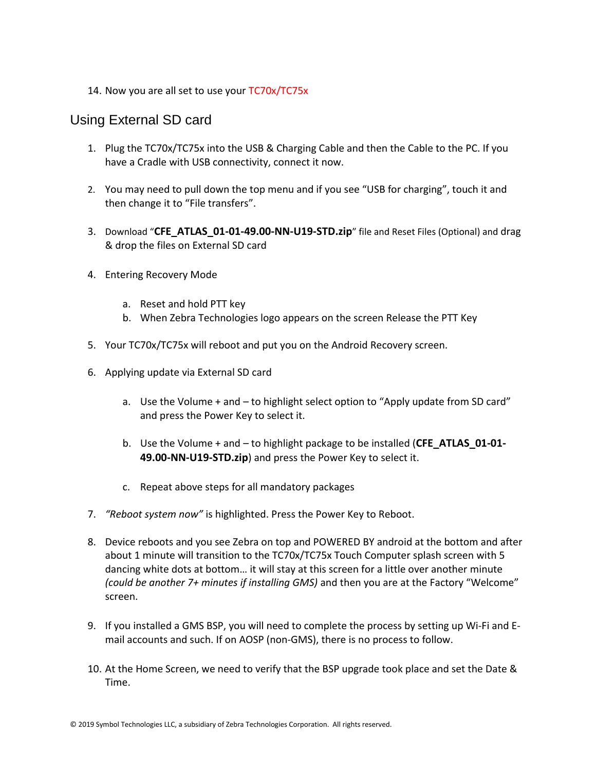14. Now you are all set to use your TC70x/TC75x

#### Using External SD card

- 1. Plug the TC70x/TC75x into the USB & Charging Cable and then the Cable to the PC. If you have a Cradle with USB connectivity, connect it now.
- 2. You may need to pull down the top menu and if you see "USB for charging", touch it and then change it to "File transfers".
- 3. Download "**CFE\_ATLAS\_01-01-49.00-NN-U19-STD.zip**" file and Reset Files (Optional) and drag & drop the files on External SD card
- 4. Entering Recovery Mode
	- a. Reset and hold PTT key
	- b. When Zebra Technologies logo appears on the screen Release the PTT Key
- 5. Your TC70x/TC75x will reboot and put you on the Android Recovery screen.
- 6. Applying update via External SD card
	- a. Use the Volume + and to highlight select option to "Apply update from SD card" and press the Power Key to select it.
	- b. Use the Volume + and to highlight package to be installed (**CFE\_ATLAS\_01-01- 49.00-NN-U19-STD.zip**) and press the Power Key to select it.
	- c. Repeat above steps for all mandatory packages
- 7. *"Reboot system now"* is highlighted. Press the Power Key to Reboot.
- 8. Device reboots and you see Zebra on top and POWERED BY android at the bottom and after about 1 minute will transition to the TC70x/TC75x Touch Computer splash screen with 5 dancing white dots at bottom… it will stay at this screen for a little over another minute *(could be another 7+ minutes if installing GMS)* and then you are at the Factory "Welcome" screen.
- 9. If you installed a GMS BSP, you will need to complete the process by setting up Wi‐Fi and E‐ mail accounts and such. If on AOSP (non‐GMS), there is no process to follow.
- 10. At the Home Screen, we need to verify that the BSP upgrade took place and set the Date & Time.